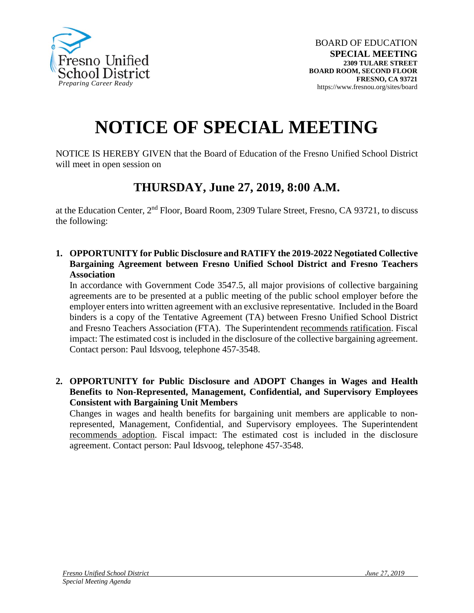

## **NOTICE OF SPECIAL MEETING**

NOTICE IS HEREBY GIVEN that the Board of Education of the Fresno Unified School District will meet in open session on

## **THURSDAY, June 27, 2019, 8:00 A.M.**

at the Education Center, 2nd Floor, Board Room, 2309 Tulare Street, Fresno, CA 93721, to discuss the following:

**1. OPPORTUNITY for Public Disclosure and RATIFY the 2019-2022 Negotiated Collective Bargaining Agreement between Fresno Unified School District and Fresno Teachers Association**

In accordance with Government Code 3547.5, all major provisions of collective bargaining agreements are to be presented at a public meeting of the public school employer before the employer enters into written agreement with an exclusive representative. Included in the Board binders is a copy of the Tentative Agreement (TA) between Fresno Unified School District and Fresno Teachers Association (FTA). The Superintendent recommends ratification. Fiscal impact: The estimated cost is included in the disclosure of the collective bargaining agreement. Contact person: Paul Idsvoog, telephone 457-3548.

**2. OPPORTUNITY for Public Disclosure and ADOPT Changes in Wages and Health Benefits to Non-Represented, Management, Confidential, and Supervisory Employees Consistent with Bargaining Unit Members**

Changes in wages and health benefits for bargaining unit members are applicable to nonrepresented, Management, Confidential, and Supervisory employees. The Superintendent recommends adoption. Fiscal impact: The estimated cost is included in the disclosure agreement. Contact person: Paul Idsvoog, telephone 457-3548.